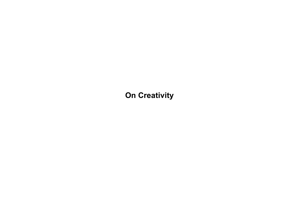**On Creativity**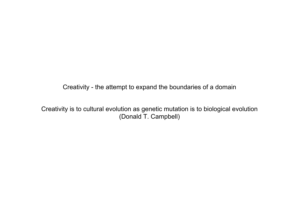Creativity - the attempt to expand the boundaries of a domain

Creativity is to cultural evolution as genetic mutation is to biological evolution (Donald T. Campbell)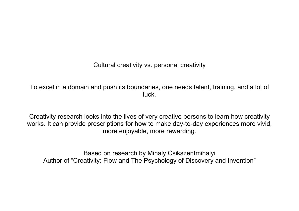Cultural creativity vs. personal creativity

To excel in a domain and push its boundaries, one needs talent, training, and a lot of luck.

Creativity research looks into the lives of very creative persons to learn how creativity works. It can provide prescriptions for how to make day-to-day experiences more vivid, more enjoyable, more rewarding.

Based on research by Mihaly Csikszentmihalyi Author of "Creativity: Flow and The Psychology of Discovery and Invention"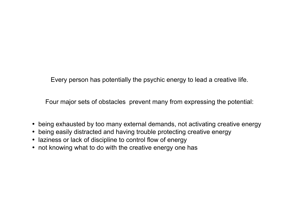Every person has potentially the psychic energy to lead a creative life.

Four major sets of obstacles prevent many from expressing the potential:

- being exhausted by too many external demands, not activating creative energy
- being easily distracted and having trouble protecting creative energy
- laziness or lack of discipline to control flow of energy
- not knowing what to do with the creative energy one has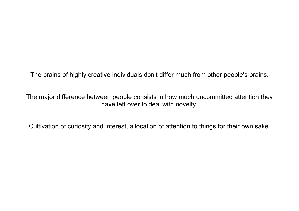The brains of highly creative individuals don't differ much from other people's brains.

The major difference between people consists in how much uncommitted attention they have left over to deal with novelty.

Cultivation of curiosity and interest, allocation of attention to things for their own sake.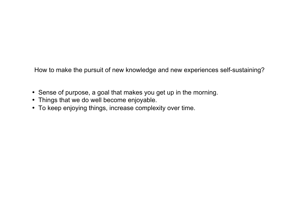How to make the pursuit of new knowledge and new experiences self-sustaining?

- Sense of purpose, a goal that makes you get up in the morning.
- Things that we do well become enjoyable.
- To keep enjoying things, increase complexity over time.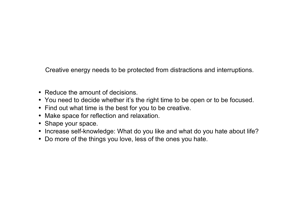Creative energy needs to be protected from distractions and interruptions.

- Reduce the amount of decisions.
- You need to decide whether it's the right time to be open or to be focused.
- Find out what time is the best for you to be creative.
- Make space for reflection and relaxation.
- Shape your space.
- Increase self-knowledge: What do you like and what do you hate about life?
- Do more of the things you love, less of the ones you hate.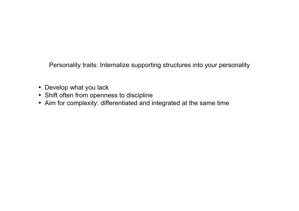Personality traits: Internalize supporting structures into your personality

- Develop what you lack
- Shift often from openness to discipline
- Aim for complexity: differentiated and integrated at the same time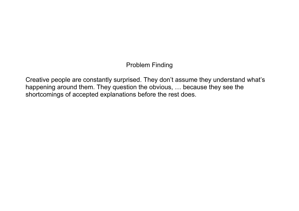## Problem Finding

Creative people are constantly surprised. They don't assume they understand what's happening around them. They question the obvious, … because they see the shortcomings of accepted explanations before the rest does.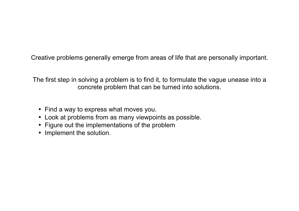Creative problems generally emerge from areas of life that are personally important.

The first step in solving a problem is to find it, to formulate the vague unease into a concrete problem that can be turned into solutions.

- Find a way to express what moves you.
- Look at problems from as many viewpoints as possible.
- Figure out the implementations of the problem
- Implement the solution.